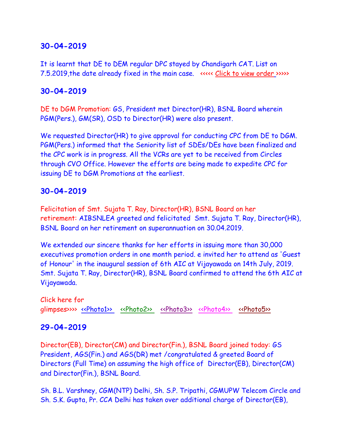## **30-04-2019**

It is learnt that DE to DEM regular DPC stayed by Chandigarh CAT. List on 7.5.2019,the date already fixed in the main case. <<<<< [Click to view order](DE%20to%20DGM_%20stay.pdf) [>](DE%20to%20DGM_%20stay.pdf)>>>>

## **30-04-2019**

DE to DGM Promotion: GS, President met Director(HR), BSNL Board wherein PGM(Pers.), GM(SR), OSD to Director(HR) were also present.

We requested Director(HR) to give approval for conducting CPC from DE to DGM. PGM(Pers.) informed that the Seniority list of SDEs/DEs have been finalized and the CPC work is in progress. All the VCRs are yet to be received from Circles through CVO Office. However the efforts are being made to expedite CPC for issuing DE to DGM Promotions at the earliest.

## **30-04-2019**

Felicitation of Smt. Sujata T. Ray, Director(HR), BSNL Board on her retirement: AIBSNLEA greeted and felicitated Smt. Sujata T. Ray, Director(HR), BSNL Board on her retirement on superannuation on 30.04.2019.

We extended our sincere thanks for her efforts in issuing more than 30,000 executives promotion orders in one month period. e invited her to attend as 'Guest of Honour' in the inaugural session of 6th AIC at Vijayawada on 14th July, 2019. Smt. Sujata T. Ray, Director(HR), BSNL Board confirmed to attend the 6th AIC at Vijayawada.

Click here for glimpses>>>> [<<Photo1>>](http://www.aibsnleachq.in/d97f6e83-ccd6-4356-b597-af230020d289.jpg) [<<Photo2>>](http://www.aibsnleachq.in/754b1d2a-8225-4812-bbb0-40b8e6597232.jpg) [<<Photo3>>](http://www.aibsnleachq.in/560ff918-839f-433a-8cc7-baf701888b4e.jpg) [<<Photo4>>](http://www.aibsnleachq.in/0ce34333-68f6-4244-9742-04d3d0bc793e.jpg) [<<Photo5>>](http://www.aibsnleachq.in/c85e5488-34b8-4c38-87f4-24fb9f7f7f08.jpg)

# **29-04-2019**

Director(EB), Director(CM) and Director(Fin.), BSNL Board joined today: GS President, AGS(Fin.) and AGS(DR) met /congratulated & greeted Board of Directors (Full Time) on assuming the high office of Director(EB), Director(CM) and Director(Fin.), BSNL Board.

Sh. B.L. Varshney, CGM(NTP) Delhi, Sh. S.P. Tripathi, CGMUPW Telecom Circle and Sh. S.K. Gupta, Pr. CCA Delhi has taken over additional charge of Director(EB),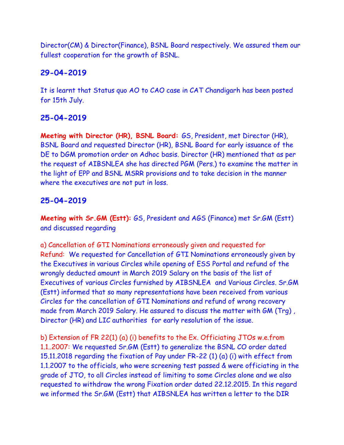Director(CM) & Director(Finance), BSNL Board respectively. We assured them our fullest cooperation for the growth of BSNL.

# **29-04-2019**

It is learnt that Status quo AO to CAO case in CAT Chandigarh has been posted for 15th July.

# **25-04-2019**

**Meeting with Director (HR), BSNL Board:** GS, President, met Director (HR), BSNL Board and requested Director (HR), BSNL Board for early issuance of the DE to DGM promotion order on Adhoc basis. Director (HR) mentioned that as per the request of AIBSNLEA she has directed PGM (Pers.) to examine the matter in the light of EPP and BSNL MSRR provisions and to take decision in the manner where the executives are not put in loss.

# **25-04-2019**

**Meeting with Sr.GM (Estt):** GS, President and AGS (Finance) met Sr.GM (Estt) and discussed regarding

a) Cancellation of GTI Nominations erroneously given and requested for Refund: We requested for Cancellation of GTI Nominations erroneously given by the Executives in various Circles while opening of ESS Portal and refund of the wrongly deducted amount in March 2019 Salary on the basis of the list of Executives of various Circles furnished by AIBSNLEA and Various Circles. Sr.GM (Estt) informed that so many representations have been received from various Circles for the cancellation of GTI Nominations and refund of wrong recovery made from March 2019 Salary. He assured to discuss the matter with GM (Trg) , Director (HR) and LIC authorities for early resolution of the issue.

b) Extension of FR 22(1) (a) (i) benefits to the Ex. Officiating JTOs w.e.from 1.1..2007: We requested Sr.GM (Estt) to generalize the BSNL CO order dated 15.11.2018 regarding the fixation of Pay under FR-22 (1) (a) (i) with effect from 1.1.2007 to the officials, who were screening test passed & were officiating in the grade of JTO, to all Circles instead of limiting to some Circles alone and we also requested to withdraw the wrong Fixation order dated 22.12.2015. In this regard we informed the Sr.GM (Estt) that AIBSNLEA has written a letter to the DIR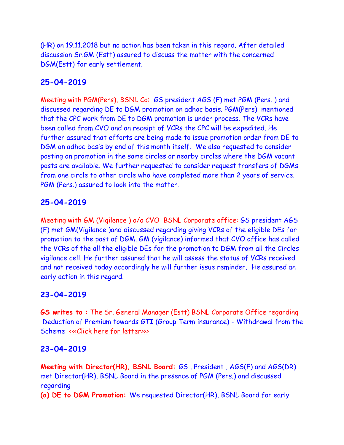(HR) on 19.11.2018 but no action has been taken in this regard. After detailed discussion Sr.GM (Estt) assured to discuss the matter with the concerned DGM(Estt) for early settlement.

## **25-04-2019**

Meeting with PGM(Pers), BSNL Co: GS president AGS (F) met PGM (Pers. ) and discussed regarding DE to DGM promotion on adhoc basis. PGM(Pers) mentioned that the CPC work from DE to DGM promotion is under process. The VCRs have been called from CVO and on receipt of VCRs the CPC will be expedited. He further assured that efforts are being made to issue promotion order from DE to DGM on adhoc basis by end of this month itself. We also requested to consider posting on promotion in the same circles or nearby circles where the DGM vacant posts are available. We further requested to consider request transfers of DGMs from one circle to other circle who have completed more than 2 years of service. PGM (Pers.) assured to look into the matter.

## **25-04-2019**

Meeting with GM (Vigilence ) o/o CVO BSNL Corporate office: GS president AGS (F) met GM(Vigilance )and discussed regarding giving VCRs of the eligible DEs for promotion to the post of DGM. GM (vigilance) informed that CVO office has called the VCRs of the all the eligible DEs for the promotion to DGM from all the Circles vigilance cell. He further assured that he will assess the status of VCRs received and not received today accordingly he will further issue reminder. He assured an early action in this regard.

# **23-04-2019**

**GS writes to :** The Sr. General Manager (Estt) BSNL Corporate Office regarding Deduction of Premium towards GTI (Group Term insurance) - Withdrawal from the Scheme «<< Click here for letter>>>

### **23-04-2019**

**Meeting with Director(HR), BSNL Board:** GS , President , AGS(F) and AGS(DR) met Director(HR), BSNL Board in the presence of PGM (Pers.) and discussed regarding

**(a) DE to DGM Promotion:** We requested Director(HR), BSNL Board for early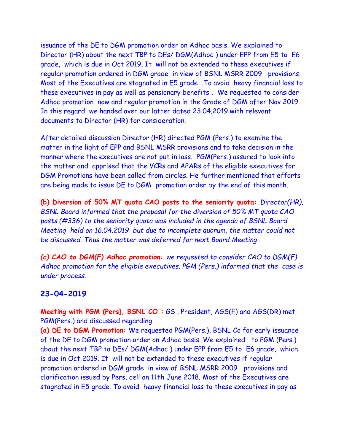issuance of the DE to DGM promotion order on Adhoc basis. We explained to Director (HR) about the next TBP to DEs/ DGM(Adhoc ) under EPP from E5 to E6 grade, which is due in Oct 2019. It will not be extended to these executives if regular promotion ordered in DGM grade in view of BSNL MSRR 2009 provisions. Most of the Executives are stagnated in E5 grade .To avoid heavy financial loss to these executives in pay as well as pensionary benefits , We requested to consider Adhoc promotion now and regular promotion in the Grade of DGM after Nov 2019. In this regard we handed over our latter dated 23.04.2019 with relevant documents to Director (HR) for consideration.

After detailed discussion Director (HR) directed PGM (Pers.) to examine the matter in the light of EPP and BSNL MSRR provisions and to take decision in the manner where the executives are not put in loss. PGM(Pers.) assured to look into the matter and apprised that the VCRs and APARs of the eligible executives for DGM Promotions have been called from circles. He further mentioned that efforts are being made to issue DE to DGM promotion order by the end of this month.

**(b) Diversion of 50% MT quota CAO posts to the seniority quota:** *Director(HR), BSNL Board informed that the proposal for the diversion of 50% MT quota CAO posts (#336) to the seniority quota was included in the agenda of BSNL Board Meeting held on 16.04.2019 but due to incomplete quorum, the matter could not be discussed. Thus the matter was deferred for next Board Meeting .*

*(c) CAO to DGM(F) Adhoc promotion: we requested to consider CAO to DGM(F) Adhoc promotion for the eligible executives. PGM (Pers.) informed that the case is under process.*

#### **23-04-2019**

**Meeting with PGM (Pers), BSNL CO :** GS , President, AGS(F) and AGS(DR) met PGM(Pers.) and discussed regarding

**(a) DE to DGM Promotion:** We requested PGM(Pers.), BSNL Co for early issuance of the DE to DGM promotion order on Adhoc basis. We explained to PGM (Pers.) about the next TBP to DEs/ DGM(Adhoc ) under EPP from E5 to E6 grade, which is due in Oct 2019. It will not be extended to these executives if regular promotion ordered in DGM grade in view of BSNL MSRR 2009 provisions and clarification issued by Pers. cell on 11th June 2018. Most of the Executives are stagnated in E5 grade. To avoid heavy financial loss to these executives in pay as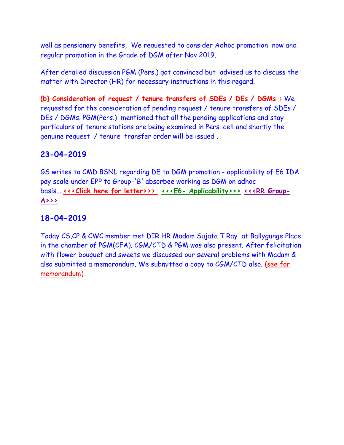well as pensionary benefits, We requested to consider Adhoc promotion now and regular promotion in the Grade of DGM after Nov 2019.

After detailed discussion PGM (Pers.) got convinced but advised us to discuss the matter with Director (HR) for necessary instructions in this regard.

**(b) Consideration of request / tenure transfers of SDEs / DEs / DGMs :** We requested for the consideration of pending request / tenure transfers of SDEs / DEs / DGMs. PGM(Pers.) mentioned that all the pending applications and stay particulars of tenure stations are being examined in Pers. cell and shortly the genuine request / tenure transfer order will be issued .

# **23-04-2019**

GS writes to CMD BSNL regarding DE to DGM promotion - applicability of E6 IDA pay scale under EPP to Group-'B' absorbee working as DGM on adhoc basis....[<<<Click here for letter>>>](http://www.aibsnleachq.in/Scan_20190423.pdf)>><<<E6- [Applicability>>>](http://www.aibsnleachq.in/E6-clarification.pdf)[<<<RR Group-](http://www.aibsnleachq.in/RR_gr_A-2.pdf)**[A>>>](http://www.aibsnleachq.in/RR_gr_A-2.pdf)**

# **18-04-2019**

Today CS,CP & CWC member met DIR HR Madam Sujata T Ray at Ballygunge Place in the chamber of PGM(CFA). CGM/CTD & PGM was also present. After felicitation with flower bouquet and sweets we discussed our several problems with Madam & also submitted a memorandum. We submitted a copy to CGM/CTD also. [\(see for](http://aibsnleawb.org/DIR%20HR%20_180419.pdf)  [memorandum\)](http://aibsnleawb.org/DIR%20HR%20_180419.pdf)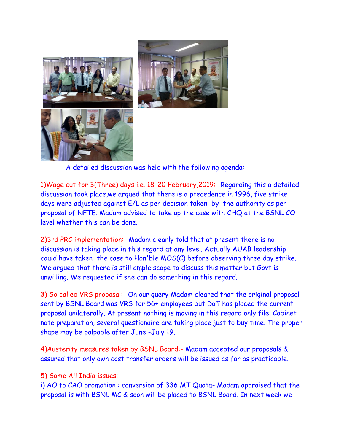



A detailed discussion was held with the following agenda:-

1)Wage cut for 3(Three) days i.e. 18-20 February,2019:- Regarding this a detailed discussion took place,we argued that there is a precedence in 1996, five strike days were adjusted against E/L as per decision taken by the authority as per proposal of NFTE. Madam advised to take up the case with CHQ at the BSNL CO level whether this can be done.

2)3rd PRC implementation:- Madam clearly told that at present there is no discussion is taking place in this regard at any level. Actually AUAB leadership could have taken the case to Hon'ble MOS(C) before observing three day strike. We argued that there is still ample scope to discuss this matter but Govt is unwilling. We requested if she can do something in this regard.

3) So called VRS proposal:- On our query Madam cleared that the original proposal sent by BSNL Board was VRS for 56+ employees but DoT has placed the current proposal unilaterally. At present nothing is moving in this regard only file, Cabinet note preparation, several questionaire are taking place just to buy time. The proper shape may be palpable after June -July 19.

4)Austerity measures taken by BSNL Board:- Madam accepted our proposals & assured that only own cost transfer orders will be issued as far as practicable.

5) Some All India issues:-

i) AO to CAO promotion : conversion of 336 MT Quota- Madam appraised that the proposal is with BSNL MC & soon will be placed to BSNL Board. In next week we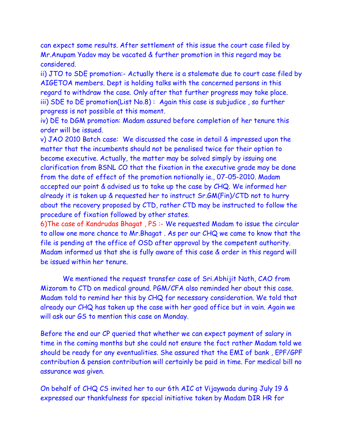can expect some results. After settlement of this issue the court case filed by Mr.Anupam Yadav may be vacated & further promotion in this regard may be considered.

ii) JTO to SDE promotion:- Actually there is a stalemate due to court case filed by AIGETOA members. Dept is holding talks with the concerned persons in this regard to withdraw the case. Only after that further progress may take place. iii) SDE to DE promotion(List No.8) : Again this case is subjudice , so further progress is not possible at this moment.

iv) DE to DGM promotion: Madam assured before completion of her tenure this order will be issued.

v) JAO 2010 Batch case: We discussed the case in detail & impressed upon the matter that the incumbents should not be penalised twice for their option to become executive. Actually, the matter may be solved simply by issuing one clarification from BSNL CO that the fixation in the executive grade may be done from the date of effect of the promotion notionally ie., 07-05-2010. Madam accepted our point & advised us to take up the case by CHQ. We informed her already it is taken up & requested her to instruct Sr.GM(Fin)/CTD not to hurry about the recovery proposed by CTD, rather CTD may be instructed to follow the procedure of fixation followed by other states.

6)The case of Kandrudas Bhagat , PS :- We requested Madam to issue the circular to allow one more chance to Mr.Bhagat . As per our CHQ we came to know that the file is pending at the office of OSD after approval by the competent authority. Madam informed us that she is fully aware of this case & order in this regard will be issued within her tenure.

We mentioned the request transfer case of Sri.Abhijit Nath, CAO from Mizoram to CTD on medical ground. PGM/CFA also reminded her about this case. Madam told to remind her this by CHQ for necessary consideration. We told that already our CHQ has taken up the case with her good office but in vain. Again we will ask our GS to mention this case on Monday.

Before the end our CP queried that whether we can expect payment of salary in time in the coming months but she could not ensure the fact rather Madam told we should be ready for any eventualities. She assured that the EMI of bank , EPF/GPF contribution & pension contribution will certainly be paid in time. For medical bill no assurance was given.

On behalf of CHQ CS invited her to our 6th AIC at Vijaywada during July 19 & expressed our thankfulness for special initiative taken by Madam DIR HR for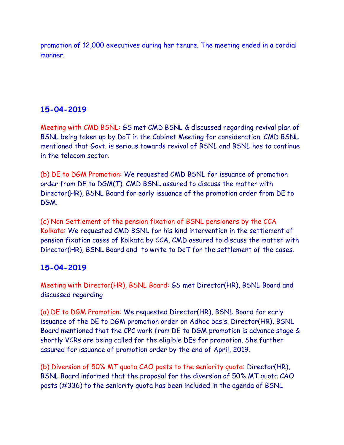promotion of 12,000 executives during her tenure. The meeting ended in a cordial manner.

# **15-04-2019**

Meeting with CMD BSNL: GS met CMD BSNL & discussed regarding revival plan of BSNL being taken up by DoT in the Cabinet Meeting for consideration. CMD BSNL mentioned that Govt. is serious towards revival of BSNL and BSNL has to continue in the telecom sector.

(b) DE to DGM Promotion: We requested CMD BSNL for issuance of promotion order from DE to DGM(T). CMD BSNL assured to discuss the matter with Director(HR), BSNL Board for early issuance of the promotion order from DE to DGM.

(c) Non Settlement of the pension fixation of BSNL pensioners by the CCA Kolkata: We requested CMD BSNL for his kind intervention in the settlement of pension fixation cases of Kolkata by CCA. CMD assured to discuss the matter with Director(HR), BSNL Board and to write to DoT for the settlement of the cases.

# **15-04-2019**

Meeting with Director(HR), BSNL Board: GS met Director(HR), BSNL Board and discussed regarding

(a) DE to DGM Promotion: We requested Director(HR), BSNL Board for early issuance of the DE to DGM promotion order on Adhoc basis. Director(HR), BSNL Board mentioned that the CPC work from DE to DGM promotion is advance stage & shortly VCRs are being called for the eligible DEs for promotion. She further assured for issuance of promotion order by the end of April, 2019.

(b) Diversion of 50% MT quota CAO posts to the seniority quota: Director(HR), BSNL Board informed that the proposal for the diversion of 50% MT quota CAO posts (#336) to the seniority quota has been included in the agenda of BSNL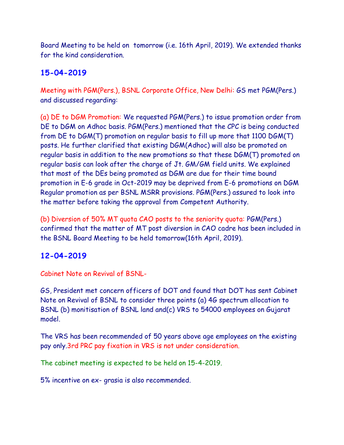Board Meeting to be held on tomorrow (i.e. 16th April, 2019). We extended thanks for the kind consideration.

# **15-04-2019**

Meeting with PGM(Pers.), BSNL Corporate Office, New Delhi: GS met PGM(Pers.) and discussed regarding:

(a) DE to DGM Promotion: We requested PGM(Pers.) to issue promotion order from DE to DGM on Adhoc basis. PGM(Pers.) mentioned that the CPC is being conducted from DE to DGM(T) promotion on regular basis to fill up more that 1100 DGM(T) posts. He further clarified that existing DGM(Adhoc) will also be promoted on regular basis in addition to the new promotions so that these DGM(T) promoted on regular basis can look after the charge of Jt. GM/GM field units. We explained that most of the DEs being promoted as DGM are due for their time bound promotion in E-6 grade in Oct-2019 may be deprived from E-6 promotions on DGM Regular promotion as per BSNL MSRR provisions. PGM(Pers.) assured to look into the matter before taking the approval from Competent Authority.

(b) Diversion of 50% MT quota CAO posts to the seniority quota: PGM(Pers.) confirmed that the matter of MT post diversion in CAO cadre has been included in the BSNL Board Meeting to be held tomorrow(16th April, 2019).

# **12-04-2019**

Cabinet Note on Revival of BSNL-

GS, President met concern officers of DOT and found that DOT has sent Cabinet Note on Revival of BSNL to consider three points (a) 4G spectrum allocation to BSNL (b) monitisation of BSNL land and(c) VRS to 54000 employees on Gujarat model.

The VRS has been recommended of 50 years above age employees on the existing pay only.3rd PRC pay fixation in VRS is not under consideration.

The cabinet meeting is expected to be held on 15-4-2019.

5% incentive on ex- grasia is also recommended.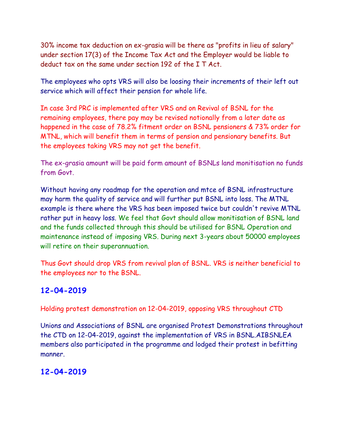30% income tax deduction on ex-grasia will be there as "profits in lieu of salary" under section 17(3) of the Income Tax Act and the Employer would be liable to deduct tax on the same under section 192 of the I T Act.

The employees who opts VRS will also be loosing their increments of their left out service which will affect their pension for whole life.

In case 3rd PRC is implemented after VRS and on Revival of BSNL for the remaining employees, there pay may be revised notionally from a later date as happened in the case of 78.2% fitment order on BSNL pensioners & 73% order for MTNL, which will benefit them in terms of pension and pensionary benefits. But the employees taking VRS may not get the benefit.

The ex-grasia amount will be paid form amount of BSNLs land monitisation no funds from Govt.

Without having any roadmap for the operation and mtce of BSNL infrastructure may harm the quality of service and will further put BSNL into loss. The MTNL example is there where the VRS has been imposed twice but couldn't revive MTNL rather put in heavy loss. We feel that Govt should allow monitisation of BSNL land and the funds collected through this should be utilised for BSNL Operation and maintenance instead of imposing VRS. During next 3-years about 50000 employees will retire on their superannuation.

Thus Govt should drop VRS from revival plan of BSNL. VRS is neither beneficial to the employees nor to the BSNL.

# **12-04-2019**

Holding protest demonstration on 12-04-2019, opposing VRS throughout CTD

Unions and Associations of BSNL are organised Protest Demonstrations throughout the CTD on 12-04-2019, against the implementation of VRS in BSNL.AIBSNLEA members also participated in the programme and lodged their protest in befitting manner.

# **12-04-2019**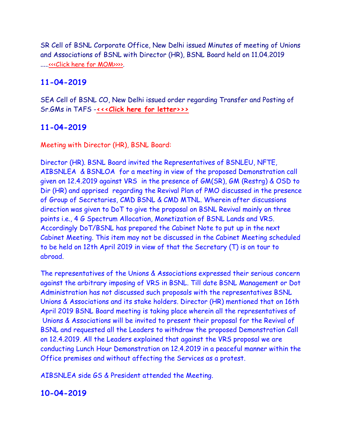SR Cell of BSNL Corporate Office, New Delhi issued Minutes of meeting of Unions and Associations of BSNL with Director (HR), BSNL Board held on 11.04.2019 ....[.<<<Click here for MOM>>>>.](http://www.aibsnleachq.in/D(HR)meeting0010001.pdf)

# **11-04-2019**

SEA Cell of BSNL CO, New Delhi issued order regarding Transfer and Posting of Sr.GMs in TAFS -**[<<<Click here for letter>>>](http://www.aibsnleachq.in/sr.gmorder%20_11042019.pdf)**

# **11-04-2019**

Meeting with Director (HR), BSNL Board:

Director (HR). BSNL Board invited the Representatives of BSNLEU, NFTE, AIBSNLEA & BSNLOA for a meeting in view of the proposed Demonstration call given on 12.4.2019 against VRS in the presence of GM(SR), GM (Restrg) & OSD to Dir (HR) and apprised regarding the Revival Plan of PMO discussed in the presence of Group of Secretaries, CMD BSNL & CMD MTNL. Wherein after discussions direction was given to DoT to give the proposal on BSNL Revival mainly on three points i.e., 4 G Spectrum Allocation, Monetization of BSNL Lands and VRS. Accordingly DoT/BSNL has prepared the Cabinet Note to put up in the next Cabinet Meeting. This item may not be discussed in the Cabinet Meeting scheduled to be held on 12th April 2019 in view of that the Secretary (T) is on tour to abroad.

The representatives of the Unions & Associations expressed their serious concern against the arbitrary imposing of VRS in BSNL. Till date BSNL Management or Dot Administration has not discussed such proposals with the representatives BSNL Unions & Associations and its stake holders. Director (HR) mentioned that on 16th April 2019 BSNL Board meeting is taking place wherein all the representatives of Unions & Associations will be invited to present their proposal for the Revival of BSNL and requested all the Leaders to withdraw the proposed Demonstration Call on 12.4.2019. All the Leaders explained that against the VRS proposal we are conducting Lunch Hour Demonstration on 12.4.2019 in a peaceful manner within the Office premises and without affecting the Services as a protest.

AIBSNLEA side GS & President attended the Meeting.

# **10-04-2019**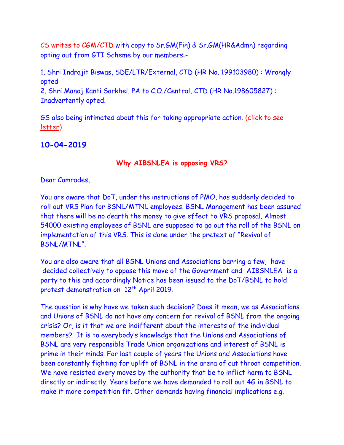CS writes to CGM/CTD with copy to Sr.GM(Fin) & Sr.GM(HR&Admn) regarding opting out from GTI Scheme by our members:-

1. Shri Indrajit Biswas, SDE/LTR/External, CTD (HR No. 199103980) : Wrongly opted 2. Shri Manoj Kanti Sarkhel, PA to C.O./Central, CTD (HR No.198605827) : Inadvertently opted.

GS also being intimated about this for taking appropriate action. [\(click to see](GTI%2011042019.pdf)  [letter\)](GTI%2011042019.pdf)

# **10-04-2019**

### **Why AIBSNLEA is opposing VRS?**

### Dear Comrades,

You are aware that DoT, under the instructions of PMO, has suddenly decided to roll out VRS Plan for BSNL/MTNL employees. BSNL Management has been assured that there will be no dearth the money to give effect to VRS proposal. Almost 54000 existing employees of BSNL are supposed to go out the roll of the BSNL on implementation of this VRS. This is done under the pretext of "Revival of BSNL/MTNL".

You are also aware that all BSNL Unions and Associations barring a few, have decided collectively to oppose this move of the Government and AIBSNLEA is a party to this and accordingly Notice has been issued to the DoT/BSNL to hold protest demonstration on 12<sup>th</sup> April 2019.

The question is why have we taken such decision? Does it mean, we as Associations and Unions of BSNL do not have any concern for revival of BSNL from the ongoing crisis? Or, is it that we are indifferent about the interests of the individual members? It is to everybody's knowledge that the Unions and Associations of BSNL are very responsible Trade Union organizations and interest of BSNL is prime in their minds. For last couple of years the Unions and Associations have been constantly fighting for uplift of BSNL in the arena of cut throat competition. We have resisted every moves by the authority that be to inflict harm to BSNL directly or indirectly. Years before we have demanded to roll out 4G in BSNL to make it more competition fit. Other demands having financial implications e.g.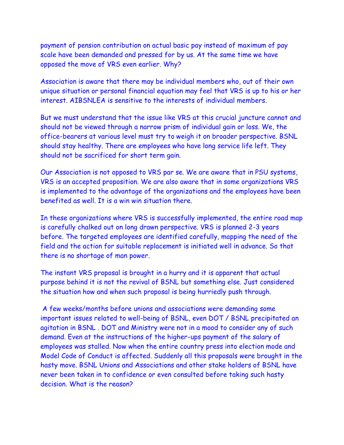payment of pension contribution on actual basic pay instead of maximum of pay scale have been demanded and pressed for by us. At the same time we have opposed the move of VRS even earlier. Why?

Association is aware that there may be individual members who, out of their own unique situation or personal financial equation may feel that VRS is up to his or her interest. AIBSNLEA is sensitive to the interests of individual members.

But we must understand that the issue like VRS at this crucial juncture cannot and should not be viewed through a narrow prism of individual gain or loss. We, the office-bearers at various level must try to weigh it on broader perspective. BSNL should stay healthy. There are employees who have long service life left. They should not be sacrificed for short term gain.

Our Association is not opposed to VRS par se. We are aware that in PSU systems, VRS is an accepted proposition. We are also aware that in some organizations VRS is implemented to the advantage of the organizations and the employees have been benefited as well. It is a win win situation there.

In these organizations where VRS is successfully implemented, the entire road map is carefully chalked out on long drawn perspective. VRS is planned 2-3 years before. The targeted employees are identified carefully, mapping the need of the field and the action for suitable replacement is initiated well in advance. So that there is no shortage of man power.

The instant VRS proposal is brought in a hurry and it is apparent that actual purpose behind it is not the revival of BSNL but something else. Just considered the situation how and when such proposal is being hurriedly push through.

A few weeks/months before unions and associations were demanding some important issues related to well-being of BSNL, even DOT / BSNL precipitated an agitation in BSNL . DOT and Ministry were not in a mood to consider any of such demand. Even at the instructions of the higher-ups payment of the salary of employees was stalled. Now when the entire country press into election mode and Model Code of Conduct is affected. Suddenly all this proposals were brought in the hasty move. BSNL Unions and Associations and other stake holders of BSNL have never been taken in to confidence or even consulted before taking such hasty decision. What is the reason?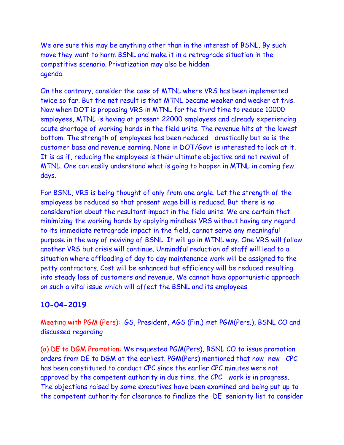We are sure this may be anything other than in the interest of BSNL. By such move they want to harm BSNL and make it in a retrograde situation in the competitive scenario. Privatization may also be hidden agenda.

On the contrary, consider the case of MTNL where VRS has been implemented twice so far. But the net result is that MTNL became weaker and weaker at this. Now when DOT is proposing VRS in MTNL for the third time to reduce 10000 employees, MTNL is having at present 22000 employees and already experiencing acute shortage of working hands in the field units. The revenue hits at the lowest bottom. The strength of employees has been reduced drastically but so is the customer base and revenue earning. None in DOT/Govt is interested to look at it. It is as if, reducing the employees is their ultimate objective and not revival of MTNL. One can easily understand what is going to happen in MTNL in coming few days.

For BSNL, VRS is being thought of only from one angle. Let the strength of the employees be reduced so that present wage bill is reduced. But there is no consideration about the resultant impact in the field units. We are certain that minimizing the working hands by applying mindless VRS without having any regard to its immediate retrograde impact in the field, cannot serve any meaningful purpose in the way of reviving of BSNL. It will go in MTNL way. One VRS will follow another VRS but crisis will continue. Unmindful reduction of staff will lead to a situation where offloading of day to day maintenance work will be assigned to the petty contractors. Cost will be enhanced but efficiency will be reduced resulting into steady loss of customers and revenue. We cannot have opportunistic approach on such a vital issue which will affect the BSNL and its employees.

# **10-04-2019**

Meeting with PGM (Pers): GS, President, AGS (Fin.) met PGM(Pers.), BSNL CO and discussed regarding

(a) DE to DGM Promotion: We requested PGM(Pers), BSNL CO to issue promotion orders from DE to DGM at the earliest. PGM(Pers) mentioned that now new CPC has been constituted to conduct CPC since the earlier CPC minutes were not approved by the competent authority in due time. the CPC work is in progress. The objections raised by some executives have been examined and being put up to the competent authority for clearance to finalize the DE seniority list to consider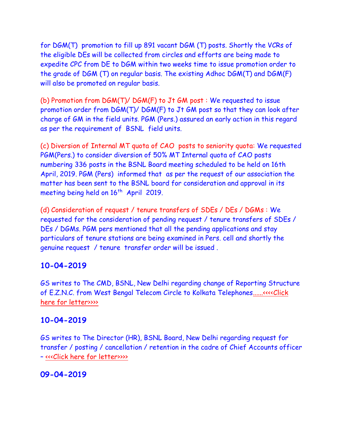for DGM(T) promotion to fill up 891 vacant DGM (T) posts. Shortly the VCRs of the eligible DEs will be collected from circles and efforts are being made to expedite CPC from DE to DGM within two weeks time to issue promotion order to the grade of DGM (T) on regular basis. The existing Adhoc DGM(T) and DGM(F) will also be promoted on regular basis.

(b) Promotion from DGM(T)/ DGM(F) to Jt GM post : We requested to issue promotion order from DGM(T)/ DGM(F) to Jt GM post so that they can look after charge of GM in the field units. PGM (Pers.) assured an early action in this regard as per the requirement of BSNL field units.

(c) Diversion of Internal MT quota of CAO posts to seniority quota: We requested PGM(Pers.) to consider diversion of 50% MT Internal quota of CAO posts numbering 336 posts in the BSNL Board meeting scheduled to be held on 16th April, 2019. PGM (Pers) informed that as per the request of our association the matter has been sent to the BSNL board for consideration and approval in its meeting being held on 16<sup>th</sup> April 2019.

(d) Consideration of request / tenure transfers of SDEs / DEs / DGMs : We requested for the consideration of pending request / tenure transfers of SDEs / DEs / DGMs. PGM pers mentioned that all the pending applications and stay particulars of tenure stations are being examined in Pers. cell and shortly the genuine request / tenure transfer order will be issued .

#### **10-04-2019**

GS writes to The CMD, BSNL, New Delhi regarding change of Reporting Structure of E.Z.N.C. from West Bengal Telecom Circle to Kolkata Telephone[s......<<<<Click](http://www.aibsnleachq.in/CMD_EZN_190409.pdf)  [here for letter>>>>](http://www.aibsnleachq.in/CMD_EZN_190409.pdf)

#### **10-04-2019**

GS writes to The Director (HR), BSNL Board, New Delhi regarding request for transfer / posting / cancellation / retention in the cadre of Chief Accounts officer – [<<<Click here for letter>>>>](http://www.aibsnleachq.in/DIRHR_190409.pdf)

### **09-04-2019**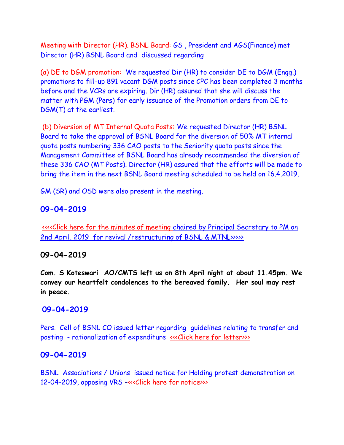Meeting with Director (HR). BSNL Board: GS , President and AGS(Finance) met Director (HR) BSNL Board and discussed regarding

(a) DE to DGM promotion: We requested Dir (HR) to consider DE to DGM (Engg.) promotions to fill-up 891 vacant DGM posts since CPC has been completed 3 months before and the VCRs are expiring. Dir (HR) assured that she will discuss the matter with PGM (Pers) for early issuance of the Promotion orders from DE to DGM(T) at the earliest.

(b) Diversion of MT Internal Quota Posts: We requested Director (HR) BSNL Board to take the approval of BSNL Board for the diversion of 50% MT internal quota posts numbering 336 CAO posts to the Seniority quota posts since the Management Committee of BSNL Board has already recommended the diversion of these 336 CAO (MT Posts). Director (HR) assured that the efforts will be made to bring the item in the next BSNL Board meeting scheduled to be held on 16.4.2019.

GM (SR) and OSD were also present in the meeting.

#### **09-04-2019**

 [<<<<Click here for the minutes of meeting](http://www.aibsnleachq.in/8cc4d208-b257.pdf) chaired by Principal Secretary to PM on 2nd April, 2019 [for revival /restructuring of BSNL & MTNL>>>>>](http://www.aibsnleachq.in/8cc4d208-b257.pdf)

#### **09-04-2019**

**Com. S Koteswari AO/CMTS left us on 8th April night at about 11.45pm. We convey our heartfelt condolences to the bereaved family. Her soul may rest in peace.**

#### **09-04-2019**

Pers. Cell of BSNL CO issued letter regarding guidelines relating to transfer and posting - rationalization of expenditure «<< Click here for letter>>>

#### **09-04-2019**

BSNL Associations / Unions issued notice for Holding protest demonstration on 12-04-2019, opposing VRS -[<<<Click here for notice>>>](http://www.aibsnleachq.in/notification%20for%20holding%20demonstration%2012.04.2019%20(3).pdf)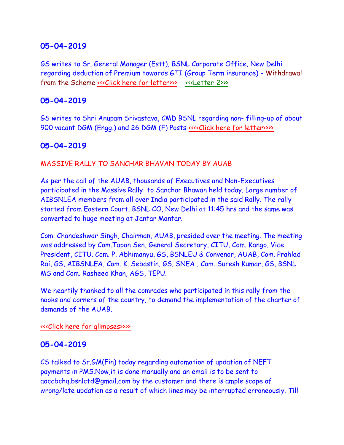## **05-04-2019**

GS writes to Sr. General Manager (Estt), BSNL Corporate Office, New Delhi regarding deduction of Premium towards GTI (Group Term insurance) - Withdrawal from the Scheme «<<Click here for letter>>>>[<<<Letter-2>>>](http://www.aibsnleachq.in/GME_190405.pdf)

### **05-04-2019**

GS writes to Shri Anupam Srivastava, CMD BSNL regarding non- filling-up of about 900 vacant DGM (Engg.) and 26 DGM (F) Posts [<<<<Click here for letter>>>>](http://www.aibsnleachq.in/DGM_190405.PDF)>>>>>

## **05-04-2019**

#### MASSIVE RALLY TO SANCHAR BHAVAN TODAY BY AUAB

As per the call of the AUAB, thousands of Executives and Non-Executives participated in the Massive Rally to Sanchar Bhawan held today. Large number of AIBSNLEA members from all over India participated in the said Rally. The rally started from Eastern Court, BSNL CO, New Delhi at 11:45 hrs and the same was converted to huge meeting at Jantar Mantar.

Com. Chandeshwar Singh, Chairman, AUAB, presided over the meeting. The meeting was addressed by Com.Tapan Sen, General Secretary, CITU, Com. Kango, Vice President, CITU. Com. P. Abhimanyu, GS, BSNLEU & Convenor, AUAB, Com. Prahlad Rai, GS, AIBSNLEA, Com. K. Sebastin, GS, SNEA , Com. Suresh Kumar, GS, BSNL MS and Com. Rasheed Khan, AGS, TEPU.

We heartily thanked to all the comrades who participated in this rally from the nooks and corners of the country, to demand the implementation of the charter of demands of the AUAB.

[<<<Click here for glimpses>>>>](http://www.aibsnleachq.in/Rally_05042019/index.html)

#### **05-04-2019**

CS talked to Sr.GM(Fin) today regarding automation of updation of NEFT payments in PMS.Now,it is done manually and an email is to be sent to aoccbchq.bsnlctd@gmail.com by the customer and there is ample scope of wrong/late updation as a result of which lines may be interrupted erroneously. Till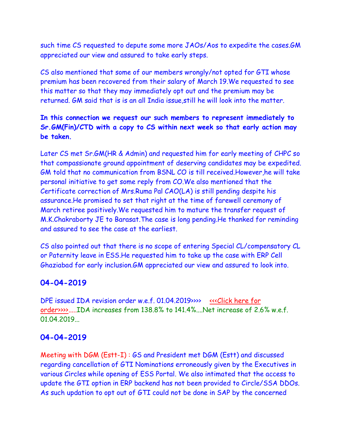such time CS requested to depute some more JAOs/Aos to expedite the cases.GM appreciated our view and assured to take early steps.

CS also mentioned that some of our members wrongly/not opted for GTI whose premium has been recovered from their salary of March 19.We requested to see this matter so that they may immediately opt out and the premium may be returned. GM said that is is an all India issue,still he will look into the matter.

## **In this connection we request our such members to represent immediately to Sr.GM(Fin)/CTD with a copy to CS within next week so that early action may be taken.**

Later CS met Sr.GM(HR & Admin) and requested him for early meeting of CHPC so that compassionate ground appointment of deserving candidates may be expedited. GM told that no communication from BSNL CO is till received.However,he will take personal initiative to get some reply from CO.We also mentioned that the Certificate correction of Mrs.Ruma Pal CAO(LA) is still pending despite his assurance.He promised to set that right at the time of farewell ceremony of March retiree positively.We requested him to mature the transfer request of M.K.Chakraborty JE to Barasat.The case is long pending.He thanked for reminding and assured to see the case at the earliest.

CS also pointed out that there is no scope of entering Special CL/compensatory CL or Paternity leave in ESS.He requested him to take up the case with ERP Cell Ghaziabad for early inclusion.GM appreciated our view and assured to look into.

### **04-04-2019**

DPE issued IDA revision order w.e.f. 01.04.2019>>>> <<<<<<<</>Click here for [order>>>>.](http://www.aibsnleachq.in/2nd_April_2019_IDA_2007_Pay_Scales.pdf)....IDA increases from 138.8% to 141.4%....Net increase of 2.6% w.e.f. 01.04.2019...

# **04-04-2019**

Meeting with DGM (Estt-I) : GS and President met DGM (Estt) and discussed regarding cancellation of GTI Nominations erroneously given by the Executives in various Circles while opening of ESS Portal. We also intimated that the access to update the GTI option in ERP backend has not been provided to Circle/SSA DDOs. As such updation to opt out of GTI could not be done in SAP by the concerned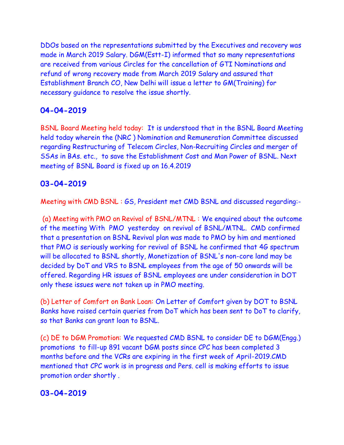DDOs based on the representations submitted by the Executives and recovery was made in March 2019 Salary. DGM(Estt-I) informed that so many representations are received from various Circles for the cancellation of GTI Nominations and refund of wrong recovery made from March 2019 Salary and assured that Establishment Branch CO, New Delhi will issue a letter to GM(Training) for necessary guidance to resolve the issue shortly.

# **04-04-2019**

BSNL Board Meeting held today: It is understood that in the BSNL Board Meeting held today wherein the (NRC ) Nomination and Remuneration Committee discussed regarding Restructuring of Telecom Circles, Non-Recruiting Circles and merger of SSAs in BAs. etc., to save the Establishment Cost and Man Power of BSNL. Next meeting of BSNL Board is fixed up on 16.4.2019

# **03-04-2019**

Meeting with CMD BSNL : GS, President met CMD BSNL and discussed regarding:-

(a) Meeting with PMO on Revival of BSNL/MTNL : We enquired about the outcome of the meeting With PMO yesterday on revival of BSNL/MTNL. CMD confirmed that a presentation on BSNL Revival plan was made to PMO by him and mentioned that PMO is seriously working for revival of BSNL he confirmed that 4G spectrum will be allocated to BSNL shortly, Monetization of BSNL's non-core land may be decided by DoT and VRS to BSNL employees from the age of 50 onwards will be offered. Regarding HR issues of BSNL employees are under consideration in DOT only these issues were not taken up in PMO meeting.

(b) Letter of Comfort on Bank Loan: On Letter of Comfort given by DOT to BSNL Banks have raised certain queries from DoT which has been sent to DoT to clarify, so that Banks can grant loan to BSNL.

(c) DE to DGM Promotion: We requested CMD BSNL to consider DE to DGM(Engg.) promotions to fill-up 891 vacant DGM posts since CPC has been completed 3 months before and the VCRs are expiring in the first week of April-2019.CMD mentioned that CPC work is in progress and Pers. cell is making efforts to issue promotion order shortly .

# **03-04-2019**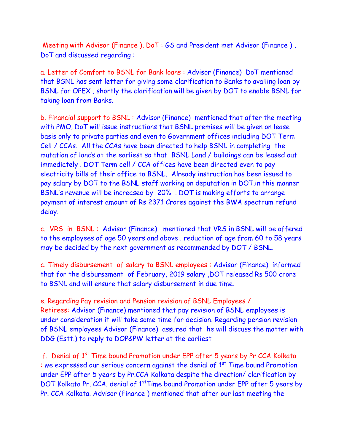Meeting with Advisor (Finance ), DoT : GS and President met Advisor (Finance ) , DoT and discussed regarding :

a. Letter of Comfort to BSNL for Bank loans : Advisor (Finance) DoT mentioned that BSNL has sent letter for giving some clarification to Banks to availing loan by BSNL for OPEX , shortly the clarification will be given by DOT to enable BSNL for taking loan from Banks.

b. Financial support to BSNL : Advisor (Finance) mentioned that after the meeting with PMO, DoT will issue instructions that BSNL premises will be given on lease basis only to private parties and even to Government offices including DOT Term Cell / CCAs. All the CCAs have been directed to help BSNL in completing the mutation of lands at the earliest so that BSNL Land / buildings can be leased out immediately . DOT Term cell / CCA offices have been directed even to pay electricity bills of their office to BSNL. Already instruction has been issued to pay salary by DOT to the BSNL staff working on deputation in DOT.in this manner BSNL's revenue will be increased by 20% . DOT is making efforts to arrange payment of interest amount of Rs 2371 Crores against the BWA spectrum refund delay.

c. VRS in BSNL : Advisor (Finance) mentioned that VRS in BSNL will be offered to the employees of age 50 years and above . reduction of age from 60 to 58 years may be decided by the next government as recommended by DOT / BSNL.

c. Timely disbursement of salary to BSNL employees : Advisor (Finance) informed that for the disbursement of February, 2019 salary ,DOT released Rs 500 crore to BSNL and will ensure that salary disbursement in due time.

e. Regarding Pay revision and Pension revision of BSNL Employees / Retirees: Advisor (Finance) mentioned that pay revision of BSNL employees is under consideration it will take some time for decision. Regarding pension revision of BSNL employees Advisor (Finance) assured that he will discuss the matter with DDG (Estt.) to reply to DOP&PW letter at the earliest

f. Denial of 1st Time bound Promotion under EPP after 5 years by Pr CCA Kolkata : we expressed our serious concern against the denial of  $1<sup>st</sup>$  Time bound Promotion under EPP after 5 years by Pr.CCA Kolkata despite the direction/ clarification by DOT Kolkata Pr. CCA. denial of 1<sup>st</sup>Time bound Promotion under EPP after 5 years by Pr. CCA Kolkata. Advisor (Finance ) mentioned that after our last meeting the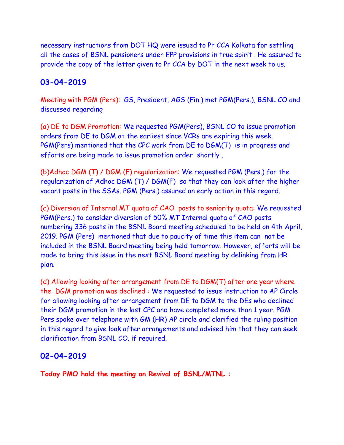necessary instructions from DOT HQ were issued to Pr CCA Kolkata for settling all the cases of BSNL pensioners under EPP provisions in true spirit . He assured to provide the copy of the letter given to Pr CCA by DOT in the next week to us.

## **03-04-2019**

Meeting with PGM (Pers): GS, President, AGS (Fin.) met PGM(Pers.), BSNL CO and discussed regarding

(a) DE to DGM Promotion: We requested PGM(Pers), BSNL CO to issue promotion orders from DE to DGM at the earliest since VCRs are expiring this week. PGM(Pers) mentioned that the CPC work from DE to DGM(T) is in progress and efforts are being made to issue promotion order shortly .

(b)Adhoc DGM (T) / DGM (F) regularization: We requested PGM (Pers.) for the regularization of Adhoc DGM (T) / DGM(F) so that they can look after the higher vacant posts in the SSAs. PGM (Pers.) assured an early action in this regard.

(c) Diversion of Internal MT quota of CAO posts to seniority quota: We requested PGM(Pers.) to consider diversion of 50% MT Internal quota of CAO posts numbering 336 posts in the BSNL Board meeting scheduled to be held on 4th April, 2019. PGM (Pers) mentioned that due to paucity of time this item can not be included in the BSNL Board meeting being held tomorrow. However, efforts will be made to bring this issue in the next BSNL Board meeting by delinking from HR plan.

(d) Allowing looking after arrangement from DE to DGM(T) after one year where the DGM promotion was declined : We requested to issue instruction to AP Circle for allowing looking after arrangement from DE to DGM to the DEs who declined their DGM promotion in the last CPC and have completed more than 1 year. PGM Pers spoke over telephone with GM (HR) AP circle and clarified the ruling position in this regard to give look after arrangements and advised him that they can seek clarification from BSNL CO. if required.

### **02-04-2019**

**Today PMO hold the meeting on Revival of BSNL/MTNL :**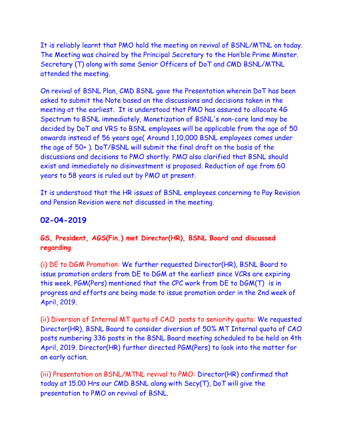It is reliably learnt that PMO hold the meeting on revival of BSNL/MTNL on today. The Meeting was chaired by the Principal Secretary to the Hon'ble Prime Minster. Secretary (T) along with some Senior Officers of DoT and CMD BSNL/MTNL attended the meeting.

On revival of BSNL Plan, CMD BSNL gave the Presentation wherein DoT has been asked to submit the Note based on the discussions and decisions taken in the meeting at the earliest. It is understood that PMO has assured to allocate 4G Spectrum to BSNL immediately, Monetization of BSNL's non-core land may be decided by DoT and VRS to BSNL employees will be applicable from the age of 50 onwards instead of 56 years age( Around 1,10,000 BSNL employees comes under the age of 50+ ). DoT/BSNL will submit the final draft on the basis of the discussions and decisions to PMO shortly. PMO also clarified that BSNL should exist and immediately no disinvestment is proposed. Reduction of age from 60 years to 58 years is ruled out by PMO at present.

It is understood that the HR issues of BSNL employees concerning to Pay Revision and Pension Revision were not discussed in the meeting.

# **02-04-2019**

# **GS, President, AGS(Fin.) met Director(HR), BSNL Board and discussed regarding**

(i) DE to DGM Promotion: We further requested Director(HR), BSNL Board to issue promotion orders from DE to DGM at the earliest since VCRs are expiring this week. PGM(Pers) mentioned that the CPC work from DE to DGM(T) is in progress and efforts are being made to issue promotion order in the 2nd week of April, 2019.

(ii) Diversion of Internal MT quota of CAO posts to seniority quota: We requested Director(HR), BSNL Board to consider diversion of 50% MT Internal quota of CAO posts numbering 336 posts in the BSNL Board meeting scheduled to be held on 4th April, 2019. Director(HR) further directed PGM(Pers) to look into the matter for an early action.

(iii) Presentation on BSNL/MTNL revival to PMO: Director(HR) confirmed that today at 15.00 Hrs our CMD BSNL along with Secy(T), DoT will give the presentation to PMO on revival of BSNL.